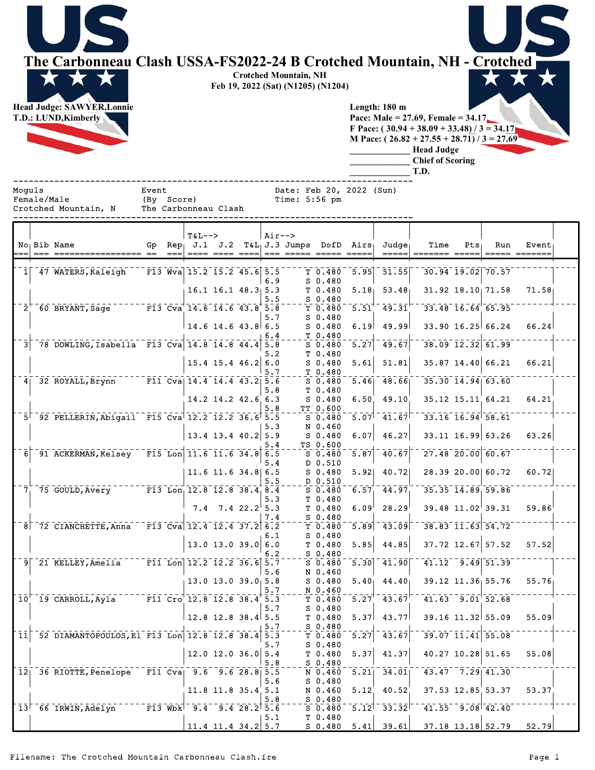**The Carbonneau Clash USSA-FS2022-24 B Crotched Mountain, NH - Crotched Crotched Mountain, NH**



**Feb 19, 2022 (Sat) (N1205) (N1204)**

**Length: 180 m Pace: Male = 27.69, Female = 34.17 F Pace: ( 30.94 + 38.09 + 33.48) / 3 = 34.17 M Pace: ( 26.82 + 27.55 + 28.71) / 3 = 27.69**

> **\_\_\_\_\_\_\_\_\_\_\_\_\_ Head Judge \_\_\_\_\_\_\_\_\_\_\_\_\_ Chief of Scoring**

**\_\_\_\_\_\_\_\_\_\_\_\_\_ T.D.** ------------------------------------------------------------------------------

Female/Male (By Score) Time: 5:56 pm<br>Crotched Mountain, N The Carbonneau Clash

The Carbonneau Clash

Moguls Event Event Date: Feb 20, 2022 (Sun)

|                 |                                                         |    |                                    | $T&L-->$                                                                                  |                          | Air-->            |                                               |                   |                    |                                               |                                               |     |       |
|-----------------|---------------------------------------------------------|----|------------------------------------|-------------------------------------------------------------------------------------------|--------------------------|-------------------|-----------------------------------------------|-------------------|--------------------|-----------------------------------------------|-----------------------------------------------|-----|-------|
|                 | No Bib Name                                             | Gp |                                    |                                                                                           |                          |                   | $Rep_1$ J.1 J.2 T&L $_1$ J.3 Jumps DofD Airs, |                   | $Judq$ e           | Time                                          | Pts                                           | Run | Event |
|                 |                                                         |    |                                    |                                                                                           |                          |                   |                                               |                   |                    |                                               |                                               |     |       |
|                 |                                                         |    |                                    |                                                                                           |                          |                   |                                               |                   |                    |                                               |                                               |     |       |
|                 | 1 47 WATERS, Kaleigh                                    |    |                                    | $F13$ Wva 15.2 15.2 45.6 5.5                                                              |                          |                   | T 0.480                                       | 5.95              | 51.55              |                                               | 30.94 19.02 70.57                             |     |       |
|                 |                                                         |    |                                    |                                                                                           |                          | 6.9               | $S$ 0.480                                     |                   |                    |                                               |                                               |     |       |
|                 |                                                         |    |                                    |                                                                                           | $16.1$ $16.1$ $48.3$ 5.3 | 5.5               | T 0.480<br>$S$ 0.480                          | 5.18              | 53.48              |                                               | 31.92 18.10 71.58                             |     | 71.58 |
|                 | 2 60 BRYANT, Sage F13 Cva 14.6 14.6 43.8 5.8            |    |                                    |                                                                                           |                          |                   | $T$ 0.480                                     | $\overline{5.51}$ | $\bar{49.31}$      | $33.48$ $16.64$ 65.95                         |                                               |     |       |
|                 |                                                         |    |                                    |                                                                                           |                          | 5.7               | $S_0.480$                                     |                   |                    |                                               |                                               |     |       |
|                 |                                                         |    |                                    | 14.6 14.6 43.8 6.5                                                                        |                          |                   | $S$ 0.480                                     | 6.19              | 49.99              |                                               | $33.90$ 16.25 66.24                           |     | 66.24 |
|                 |                                                         |    |                                    |                                                                                           |                          | 6.4               | T 0.480                                       |                   |                    |                                               |                                               |     |       |
| 3 <sup>1</sup>  | 78 DOWLING, Isabella F13 Cva 14.8 14.8 44.4 5.8         |    |                                    |                                                                                           |                          |                   | $S$ 0.480                                     | $\overline{5.27}$ | $\overline{49.67}$ |                                               | $38.09$ $12.32$ $61.99$                       |     |       |
|                 |                                                         |    |                                    |                                                                                           | $15.4$ 15.4 46.2         | 5.2<br>6.0        | T 0.480<br>$S$ 0.480                          | 5.61              | 51.81              |                                               | 35.87 14.40 66.21                             |     | 66.21 |
|                 |                                                         |    |                                    |                                                                                           |                          | 5.7               | $T_0.480$                                     |                   |                    |                                               |                                               |     |       |
|                 | 4 32 ROYALL, Brynn F11 Cva 14.4 14.4 43.2 5.6           |    |                                    |                                                                                           |                          |                   | $S$ 0.480                                     | 5.46              | 48.66              | $35.30$ $14.94$ 63.60                         |                                               |     |       |
|                 |                                                         |    |                                    |                                                                                           |                          | 5.8               | T 0.480                                       |                   |                    |                                               |                                               |     |       |
|                 |                                                         |    |                                    |                                                                                           | 14.2 14.2 42.6 6.3       |                   | $S$ 0.480                                     | 6.50              | 49.10              | 35.12 15.11 64.21                             |                                               |     | 64.21 |
|                 |                                                         |    |                                    |                                                                                           |                          | 5.8               | TT 0.600                                      |                   |                    | $33.16$ $16.94$ $58.61$                       |                                               |     |       |
|                 | 5 92 PELLERIN, Abigail F15 Cva 12.2 12.2 36.6 5.5       |    |                                    |                                                                                           |                          | 5.3               | $S$ 0.480<br>N 0.460                          | $\overline{5.07}$ | 11.67              |                                               |                                               |     |       |
|                 |                                                         |    |                                    |                                                                                           | $13.4$ 13.4 40.2 5.9     |                   | S 0.480                                       | 6.07              | 46.27              |                                               | 33.11 16.99 63.26                             |     | 63.26 |
|                 |                                                         |    |                                    |                                                                                           |                          | 5.4               | TS 0.600                                      |                   |                    |                                               |                                               |     |       |
|                 | 6 91 ACKERMAN, Kelsey F15 Lon 11.6 11.6 34.8 6.5        |    |                                    |                                                                                           |                          |                   | $S_0.480$                                     | 5.87              | 40.67              |                                               | $27.48$ $20.00$ 60.67                         |     |       |
|                 |                                                         |    |                                    |                                                                                           |                          | 5.4               | D 0.510                                       |                   |                    |                                               |                                               |     |       |
|                 |                                                         |    |                                    | $11.6$ 11.6 34.8 6.5                                                                      |                          |                   | S 0.480                                       | 5.92              | 40.72              |                                               | 28.39 20.00 60.72                             |     | 60.72 |
|                 | $7^{+}_{1}$ 75 GOULD, Avery F13 Lon, 12.8 12.8 38.4 8.4 |    |                                    |                                                                                           |                          | 5.5               | D 0.510<br>$S \ 0.480$                        | 6.57              | $-44.97$           | $35.35$ $\overline{14.89}$ $\overline{59.86}$ |                                               |     |       |
|                 |                                                         |    |                                    |                                                                                           |                          | 5.3               | T 0.480                                       |                   |                    |                                               |                                               |     |       |
|                 |                                                         |    |                                    |                                                                                           | $7.4$ $7.4$ $22.2$ 5.3   |                   | T 0.480                                       | 6.09              | 28.29              |                                               | $39.48$ 11.02 39.31                           |     | 59.86 |
|                 |                                                         |    |                                    |                                                                                           |                          | 7.4               | $S_0.480$                                     |                   |                    |                                               |                                               |     |       |
|                 | $8$ $72$ CIANCHETTE, Anna                               |    |                                    | $\sqrt{13}$ Cva 12.4 12.4 37.2 6.2                                                        |                          |                   | T 0.480                                       | 5.89              | $-43.09$           |                                               | $38.83$ $\overline{11.63}$ $\overline{54.72}$ |     |       |
|                 |                                                         |    |                                    |                                                                                           |                          | 6.1               | $S$ 0.480                                     |                   |                    |                                               |                                               |     |       |
|                 |                                                         |    |                                    | $13.0$ $13.0$ $39.0$                                                                      |                          | 6.0<br>6.2        | T 0.480<br>$S$ 0.480                          | 5.85              | 44.85              |                                               | 37.72 12.67 57.52                             |     | 57.52 |
|                 | 9 21 KELLEY, Amelia F11 Lon 12.2 12.2 36.6 5.7          |    |                                    |                                                                                           |                          |                   | $S$ 0.480                                     | 5.30              | 41.90              |                                               | $41.12 - 9.49$ 51.39                          |     |       |
|                 |                                                         |    |                                    |                                                                                           |                          | 5.6               | N 0.460                                       |                   |                    |                                               |                                               |     |       |
|                 |                                                         |    |                                    | $13.0$ 13.0 39.0 5.8                                                                      |                          |                   | $S$ 0.480                                     |                   | $5.40$ $44.40$     | $39.12$ 11.36 55.76                           |                                               |     | 55.76 |
|                 |                                                         |    |                                    |                                                                                           |                          | 5.7               | N 0.460                                       |                   |                    |                                               |                                               |     |       |
|                 | 10 19 CARROLL, Ayla F11 Cro 12.8 12.8 38.4 5.3          |    |                                    |                                                                                           |                          |                   | T 0.480                                       | 5.27              | $\overline{43.67}$ | $41.63 - 9.01$ 52.68                          |                                               |     |       |
|                 |                                                         |    |                                    | 12.8 12.8 38.4 5.5                                                                        |                          | 5.7               | $S_0.480$<br>T 0.480                          | 5.37              | 43.77              |                                               | 39.16 11.32 55.09                             |     | 55.09 |
|                 |                                                         |    |                                    |                                                                                           |                          | 5.7               | S 0.480                                       |                   |                    |                                               |                                               |     |       |
| $\overline{11}$ | 52 DIAMANTOPOULOS, El F13 Lon 12.8 12.8 38.4            |    |                                    |                                                                                           |                          | $\bar{5}.\bar{3}$ | T 0.480                                       | 5.27              | 43.67              |                                               | $39.07$ $11.41$ 55.08                         |     |       |
|                 |                                                         |    |                                    |                                                                                           |                          | 5.7               | $S$ 0.480                                     |                   |                    |                                               |                                               |     |       |
|                 |                                                         |    |                                    |                                                                                           | $12.0$ 12.0 36.0         | 5.4               | T 0.480                                       | 5.37              | 41.37              |                                               | 40.27 10.28 51.65                             |     | 55.08 |
|                 |                                                         |    |                                    |                                                                                           |                          | 5.8               | $S$ 0.480                                     |                   |                    |                                               |                                               |     |       |
|                 | 12 36 RIOTTE, Penelope                                  |    | $\overline{F11}$ $\overline{C}$ va |                                                                                           | $9.6$ $9.6$ $28.8$ 5.5   | 5.6               | $N$ 0.460<br>$S$ 0.480                        | $\overline{5.21}$ | 34.01              |                                               | $43.47 - 7.29$ $41.30$                        |     |       |
|                 |                                                         |    |                                    |                                                                                           | 11.8 11.8 35.4 5.1       |                   | N 0.460                                       | 5.12              | 40.52              |                                               | 37.53 12.85 53.37                             |     | 53.37 |
|                 |                                                         |    |                                    |                                                                                           |                          | 5.8               | $S_0.480$                                     |                   |                    |                                               |                                               |     |       |
|                 | 13 66 IRWIN, Adelyn                                     |    |                                    | $\overline{F13}$ Wbk $\overline{9.4}$ $\overline{9.4}$ $\overline{28.2}$ $\overline{5.6}$ |                          |                   | S <sub>0.480</sub>                            | $\overline{5.12}$ | $\overline{33.32}$ |                                               | $41.55 - 9.08$ $42.40$                        |     |       |
|                 |                                                         |    |                                    |                                                                                           |                          | 5.1               | T 0.480                                       |                   |                    |                                               |                                               |     |       |
|                 |                                                         |    |                                    | 11.4 11.4 34.2 $5.7$                                                                      |                          |                   | S 0.480                                       | 5.41              | 39.61              |                                               | 37.18 13.18 52.79                             |     | 52.79 |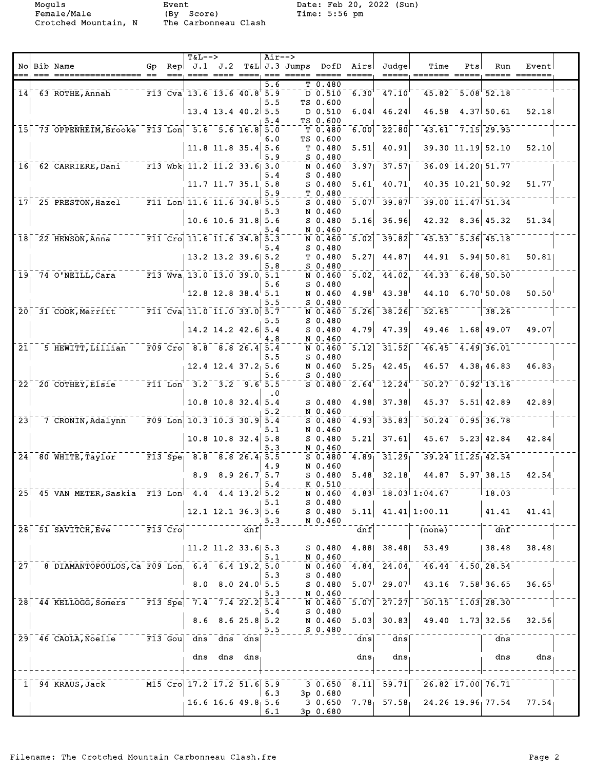Female/Male (By Score) Time: 5:56 pm Crotched Mountain, N The Carbonneau Clash

|                            |                                                  |           | $T&L-->$                                                                                                                                                                                                          |         |                          | $Air--$    |                 |                        |                   |                                                                        |                                        |     |                                 |                    |  |
|----------------------------|--------------------------------------------------|-----------|-------------------------------------------------------------------------------------------------------------------------------------------------------------------------------------------------------------------|---------|--------------------------|------------|-----------------|------------------------|-------------------|------------------------------------------------------------------------|----------------------------------------|-----|---------------------------------|--------------------|--|
|                            | No Bib Name                                      | Gp        | Rep $J.1$ $J.2$                                                                                                                                                                                                   |         |                          |            | $T&L$ J.3 Jumps | DofD<br>===== =====    | Airs              | Judge                                                                  | Time                                   | Pts | Run                             | Event              |  |
|                            |                                                  |           |                                                                                                                                                                                                                   |         |                          | 5.6        |                 | $T$ 0.480              |                   |                                                                        |                                        |     |                                 |                    |  |
|                            | 14 63 ROTHE, Annah                               |           | F13 Cva 13.6 13.6 40.8 5.9                                                                                                                                                                                        |         |                          |            |                 | $D \overline{0.510}$   | 6.30              | 47.10                                                                  | 45.82                                  |     | $-5.08$ 52.18                   |                    |  |
|                            |                                                  |           |                                                                                                                                                                                                                   |         |                          | 5.5        |                 | TS 0.600               |                   |                                                                        |                                        |     |                                 |                    |  |
|                            |                                                  |           |                                                                                                                                                                                                                   |         | $13.4$ 13.4 40.2 5.5     |            |                 | D 0.510                | 6.04              | 46.24                                                                  | 46.58                                  |     | 4.37 50.61                      | 52.18              |  |
| 15 <sub>l</sub>            | 73 OPPENHEIM, Brooke F13 Lon 5.6 5.6 16.8        |           |                                                                                                                                                                                                                   |         |                          | 5.4<br>5.0 |                 | TS 0.600<br>T 0.480    | 6.00              | 22.80                                                                  |                                        |     | $43.61 - 7.15$ 29.95            |                    |  |
|                            |                                                  |           |                                                                                                                                                                                                                   |         |                          | 6.0        |                 | TS 0.600               |                   |                                                                        |                                        |     |                                 |                    |  |
|                            |                                                  |           |                                                                                                                                                                                                                   |         | $11.8$ 11.8 35.4 5.6     |            |                 | T <sub>0.480</sub>     | 5.51              | 40.91                                                                  |                                        |     | 39.30 11.19 52.10               | 52.10              |  |
|                            |                                                  |           |                                                                                                                                                                                                                   |         |                          | 5.9        |                 | $S$ 0.480              |                   |                                                                        |                                        |     |                                 |                    |  |
|                            | 16 62 CARRIERE, Dani                             |           | $\overline{F13}$ Wbk $11.2$ $11.2$ 33.6 3.0                                                                                                                                                                       |         |                          |            |                 | N 0.460                | 3.97              | 37.57                                                                  |                                        |     | $36.09$ $14.20$ $51.77$         |                    |  |
|                            |                                                  |           |                                                                                                                                                                                                                   |         |                          | 5.4        |                 | $S_0.480$              |                   |                                                                        |                                        |     | 40.35 10.21 50.92               |                    |  |
|                            |                                                  |           |                                                                                                                                                                                                                   |         | 11.7 11.7 35.1 5.8       | 5.9        |                 | $S$ 0.480<br>T 0.480   | 5.61              | 40.71                                                                  |                                        |     |                                 | 51.77              |  |
|                            | 17 25 PRESTON, Hazel F11 Lon 11.6 11.6 34.8 5.5  |           |                                                                                                                                                                                                                   |         |                          |            |                 | $S$ 0.480              | 5.07              | 39.87                                                                  |                                        |     | $39.00$ $11.47$ $51.34$         |                    |  |
|                            |                                                  |           |                                                                                                                                                                                                                   |         |                          | 5.3        |                 | N 0.460                |                   |                                                                        |                                        |     |                                 |                    |  |
|                            |                                                  |           |                                                                                                                                                                                                                   |         | $10.6$ 10.6 31.8 5.6     |            |                 | $S$ 0.480              | 5.16              | 36.96                                                                  |                                        |     | $42.32$ $8.36$ $45.32$          | 51.34              |  |
|                            |                                                  |           |                                                                                                                                                                                                                   |         |                          | 5.4        |                 | N 0.460                |                   |                                                                        |                                        |     |                                 |                    |  |
|                            | $18$ $22$ HENSON, Anna                           |           | $\overline{\text{F11 }} \text{Cro} \overline{\text{11.6 }} \overline{\text{11.6 }} \overline{\text{34.8}} \overline{\text{5.3}}$                                                                                  |         |                          | 5.4        |                 | N 0.460<br>$S_0.480$   | 5.02              | 39.82                                                                  |                                        |     | $45.53 - 5.36$ 45.18            |                    |  |
|                            |                                                  |           |                                                                                                                                                                                                                   |         | 13.2 13.2 39.6 5.2       |            |                 | T 0.480                | 5.27              | 44.87                                                                  | 44.91                                  |     | 5.94 50.81                      | 50.81              |  |
|                            |                                                  |           |                                                                                                                                                                                                                   |         |                          | 5.8        |                 | $S$ 0.480              |                   |                                                                        |                                        |     |                                 |                    |  |
| 19.                        | 74 O'NEILL, Cara                                 |           | $\overline{F13}$ Wva, 13.0 13.0 39.0 5.1                                                                                                                                                                          |         |                          |            |                 | N 0.460                | 5.02              | 44.02                                                                  |                                        |     | $44.33 - 6.48, 50.50$           |                    |  |
|                            |                                                  |           |                                                                                                                                                                                                                   |         |                          | 5.6        |                 | $S_0.480$              |                   |                                                                        |                                        |     |                                 |                    |  |
|                            |                                                  |           |                                                                                                                                                                                                                   |         | $12.8$ 12.8 38.4 5.1     | 5.5        |                 | N 0.460<br>$S$ 0.480   | 4.98              | 43.38                                                                  | 44.10                                  |     | $6.70^{+}50.08$                 | 50.50              |  |
|                            | 20 31 COOK, Merritt                              |           | $\bar{r}$ $\bar{r}$ $\bar{1}$ $\bar{1}$ $\bar{c}$ $\bar{v}$ $\bar{a}$ $\bar{1}$ $\bar{1}$ $\bar{0}$ $\bar{0}$ $\bar{1}$ $\bar{1}$ $\bar{0}$ $\bar{0}$ $\bar{3}$ $\bar{3}$ $\bar{0}$ $\bar{0}$ $\bar{5}$ $\bar{7}$ |         |                          |            |                 | N 0.460                | 5.26              | 38.26                                                                  | $\overline{52.65}$                     |     | 38.26                           |                    |  |
|                            |                                                  |           |                                                                                                                                                                                                                   |         |                          | 5.5        |                 | $S_0.480$              |                   |                                                                        |                                        |     |                                 |                    |  |
|                            |                                                  |           |                                                                                                                                                                                                                   |         | $14.2$ 14.2 42.6         | 5.4        |                 | $S$ 0.480              | 4.79              | 47.39                                                                  | 49.46                                  |     | 1.68 49.07                      | 49.07              |  |
|                            |                                                  |           |                                                                                                                                                                                                                   |         |                          | 4.8        |                 | N 0.460                |                   |                                                                        |                                        |     |                                 |                    |  |
| 21                         | 5 HEWITT, Lillian                                |           | $F09$ $Cr0$ $8.8$ $8.8$ $26.4$ $5.4$                                                                                                                                                                              |         |                          |            |                 | N 0.460                | 5.12              | 31.52                                                                  |                                        |     | $46.45 - 4.49$ 36.01            |                    |  |
|                            |                                                  |           |                                                                                                                                                                                                                   |         | $12.4$ $12.4$ $37.2$ 5.6 | 5.5        |                 | $S_0.480$<br>N 0.460   | $5.25_1$          | 42.45                                                                  |                                        |     | 46.57 4.38 46.83                | 46.83              |  |
|                            |                                                  |           |                                                                                                                                                                                                                   |         |                          | 5.6        |                 | $S$ 0.480              |                   |                                                                        |                                        |     |                                 |                    |  |
|                            | $22F$ 20 COTHEY, Elsie                           |           | $F11$ Lon <sup>-3.2-3.2</sup> 9.65.5                                                                                                                                                                              |         |                          |            |                 | $S$ 0.480              | 2.64              | $\bar{1}\bar{2}\bar{.}\bar{2}\bar{4}$                                  |                                        |     | $50.27 - 0.92$ <sup>13.16</sup> |                    |  |
|                            |                                                  |           |                                                                                                                                                                                                                   |         |                          | . 0        |                 |                        |                   |                                                                        |                                        |     |                                 |                    |  |
|                            |                                                  |           |                                                                                                                                                                                                                   |         | $10.8$ 10.8 32.4 5.4     |            |                 | $S_0.480$              | 4.98              | 37.38                                                                  | 45.37                                  |     | $5.51$ 42.89                    | 42.89              |  |
| $\overline{2}\overline{3}$ | 7 CRONIN, Adalynn                                |           | $F09$ Lon 10.3 10.3 30.9                                                                                                                                                                                          |         |                          | 5.2<br>5.4 |                 | N 0.460<br>$S$ 0.480   | 4.93              | 35.83                                                                  | $50.24$ <sup>-</sup>                   |     | $\sqrt{0.95}$ 36.78             |                    |  |
|                            |                                                  |           |                                                                                                                                                                                                                   |         |                          | 5.1        |                 | N 0.460                |                   |                                                                        |                                        |     |                                 |                    |  |
|                            |                                                  |           |                                                                                                                                                                                                                   |         | $10.8$ 10.8 32.4 5.8     |            |                 | $S$ 0.480              | 5.21              | 37.61                                                                  | 45.67                                  |     | $5.23 \mid 42.84$               | 42.84              |  |
|                            |                                                  |           |                                                                                                                                                                                                                   |         |                          | 5.3        |                 | N 0.460                |                   |                                                                        |                                        |     |                                 |                    |  |
|                            | 24 80 WHITE, Taylor F13 Spe 8.8 8.8 26.4 5.5     |           |                                                                                                                                                                                                                   |         |                          |            |                 | $S$ 0.480              | 4.89              | 31.29                                                                  |                                        |     | $39.24$ $11.25$ $42.54$         |                    |  |
|                            |                                                  |           |                                                                                                                                                                                                                   |         | 8.9 8.9 26.7 5.7         | 4.9        |                 | N 0.460<br>$S_0.480$   | 5.48              | 32.18                                                                  |                                        |     | 44.87 5.97 38.15                | 42.54              |  |
|                            |                                                  |           |                                                                                                                                                                                                                   |         |                          | 5.4        |                 | K 0.510                |                   |                                                                        |                                        |     |                                 |                    |  |
|                            | 25 45 VAN METER, Saskia F13 Lon 4.4 4.4 13.2 5.2 |           |                                                                                                                                                                                                                   |         |                          |            |                 | N 0.460                | 4.83 <sup>†</sup> |                                                                        | 18.03 1:04.67                          |     | ∣18.03                          |                    |  |
|                            |                                                  |           |                                                                                                                                                                                                                   |         |                          | 5.1        |                 | $S_0.480$              |                   |                                                                        |                                        |     |                                 |                    |  |
|                            |                                                  |           |                                                                                                                                                                                                                   |         | $12.1$ 12.1 36.3 5.6     |            |                 | $S_0.480$              | 5.11              |                                                                        | $41.41 \mid 1:00.11$                   |     | 41.41                           | 41.41              |  |
|                            | 26 51 SAVITCH, Eve F13 Cro                       |           |                                                                                                                                                                                                                   |         | dnf                      | 5.3        |                 | N 0.460                | dnf               |                                                                        | (none)                                 |     | dnf                             |                    |  |
|                            |                                                  |           |                                                                                                                                                                                                                   |         |                          |            |                 |                        |                   |                                                                        |                                        |     |                                 |                    |  |
|                            |                                                  |           |                                                                                                                                                                                                                   |         | $11.2$ 11.2 33.6 5.3     |            |                 | S 0.480                | 4.88              | 38.48                                                                  | 53.49                                  |     | 38.48                           | 38.48              |  |
|                            |                                                  |           |                                                                                                                                                                                                                   |         |                          | 5.1        |                 | N 0.460                |                   |                                                                        |                                        |     |                                 |                    |  |
| 27 <sub>1</sub>            | 8 DIAMANTOPOULOS, Ca F09 Lon, 6.4 6.4 19.2, 5.0  |           |                                                                                                                                                                                                                   |         |                          |            |                 | N 0.460                | 4.84              | 24.04.                                                                 |                                        |     | $46.44$ $4.50$ 28.54            |                    |  |
|                            |                                                  |           | 8.0                                                                                                                                                                                                               |         | 8.024.05.5               | 5.3        |                 | $S$ 0.480<br>$S$ 0.480 | 5.07              | 29.07                                                                  |                                        |     | $43.16$ $7.58$ 36.65            | $36.65^{\circ}$    |  |
|                            |                                                  |           |                                                                                                                                                                                                                   |         |                          | 5.3        |                 | N 0.460                |                   |                                                                        |                                        |     |                                 |                    |  |
|                            | 28 44 KELLOGG, Somers                            |           | $\sqrt{17.4}$ 7.4 7.4 22.2 5.4                                                                                                                                                                                    |         |                          |            |                 | N 0.460                | 5.07              | $\left  \overline{2}\overline{7}\cdot \overline{2}\overline{7}\right $ |                                        |     | $\overline{50.15}$ 1.03 28.30   |                    |  |
|                            |                                                  |           |                                                                                                                                                                                                                   |         |                          | 5.4        |                 | $S_0.480$              |                   |                                                                        |                                        |     |                                 |                    |  |
|                            |                                                  |           | 8.6                                                                                                                                                                                                               |         | 8.625.85.2               | 5.5        |                 | N 0.460<br>$S$ 0.480   | 5.03              | 30.83                                                                  |                                        |     | 49.40 1.73 32.56                | 32.56              |  |
|                            | 29 46 CAOLA, Noelle                              | $F13$ Gou |                                                                                                                                                                                                                   | dns dns | dns                      |            |                 |                        | dns               | dns                                                                    |                                        |     | dns                             |                    |  |
|                            |                                                  |           |                                                                                                                                                                                                                   |         |                          |            |                 |                        |                   |                                                                        |                                        |     |                                 |                    |  |
|                            |                                                  |           | dns                                                                                                                                                                                                               |         | dns dns                  |            |                 |                        | $dns_1$           | dns                                                                    |                                        |     | dns                             | dns                |  |
|                            |                                                  |           |                                                                                                                                                                                                                   |         |                          |            |                 |                        |                   |                                                                        |                                        |     |                                 |                    |  |
|                            | 1 94 KRAUS, Jack                                 |           | M15 Cro 17.2 17.2 51.6 5.9                                                                                                                                                                                        |         |                          |            |                 | $30.650$ 8.11          |                   | 59.71                                                                  |                                        |     | 26.82 17.00 76.71               |                    |  |
|                            |                                                  |           |                                                                                                                                                                                                                   |         |                          | 6.3        |                 | 3p 0.680               |                   |                                                                        |                                        |     |                                 |                    |  |
|                            |                                                  |           |                                                                                                                                                                                                                   |         | $16.6$ 16.6 49.8 5.6     |            |                 |                        |                   |                                                                        | 3 0.650 7.78 $57.58$ 24.26 19.96 77.54 |     |                                 | 77.54 <sub>1</sub> |  |
|                            |                                                  |           |                                                                                                                                                                                                                   |         |                          | 6.1        |                 | 3p 0.680               |                   |                                                                        |                                        |     |                                 |                    |  |
|                            |                                                  |           |                                                                                                                                                                                                                   |         |                          |            |                 |                        |                   |                                                                        |                                        |     |                                 |                    |  |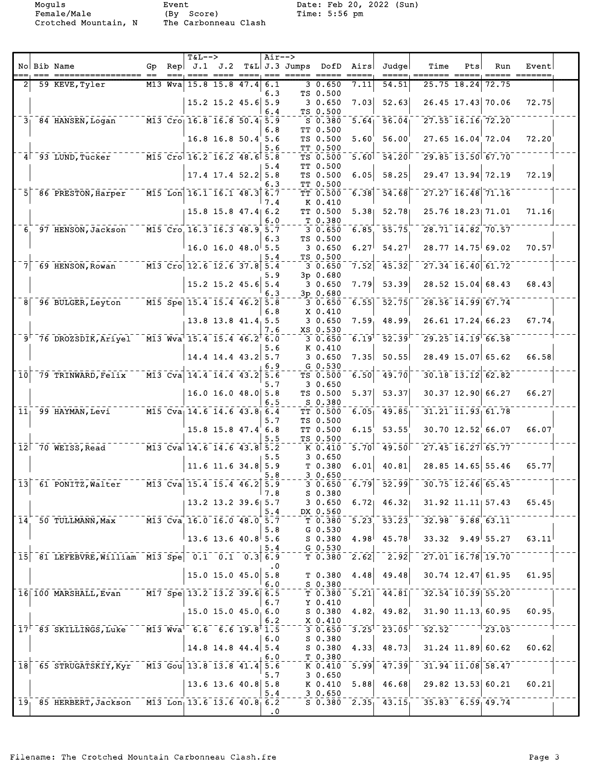Female/Male (By Score) Time: 5:56 pm

Crotched Mountain, N The Carbonneau Clash

|                    |                                                             |    | $T&L-->$                                                 |                          | $Air--$    |                               |                                 |                     |                                      |                                                                                              |     |                          |                                                                                                                 |  |
|--------------------|-------------------------------------------------------------|----|----------------------------------------------------------|--------------------------|------------|-------------------------------|---------------------------------|---------------------|--------------------------------------|----------------------------------------------------------------------------------------------|-----|--------------------------|-----------------------------------------------------------------------------------------------------------------|--|
|                    | No Bib Name                                                 | Gp |                                                          |                          |            | Rep $J.1$ $J.2$ T&L J.3 Jumps | DofD                            | Airs                | Judge                                | Time                                                                                         | Pts | Run                      | Event<br>$\qquad \qquad \doteq\qquad \qquad \doteq\qquad \qquad \doteq\qquad \qquad \doteq\qquad \qquad \qquad$ |  |
|                    | 59 KEVE, Tyler                                              |    | M13 Wya 15.8 15.8 47.4                                   |                          | 6.1        |                               | 30.650                          | 7.11                | 54.51                                | 25.75 18.24                                                                                  |     | 72.75                    |                                                                                                                 |  |
|                    |                                                             |    |                                                          | $15.2$ 15.2 45.6 5.9     | 6.3<br>6.4 |                               | TS 0.500<br>30.650<br>TS 0.500  | 7.03                | 52.63                                |                                                                                              |     | 26.45 17.43 70.06        | 72.75                                                                                                           |  |
|                    | 3 84 HANSEN, Logan                                          |    | $\overline{M13}$ Cro 16.8 16.8 50.4 5.9                  |                          | 6.8        |                               | S 0.380<br>TT 0.500             | 5.64                | 56.04                                | $27.55$ $16.16$ $72.20$                                                                      |     |                          |                                                                                                                 |  |
|                    |                                                             |    |                                                          | 16.8 16.8 50.4 5.6       | 5.6        |                               | TS 0.500<br>TT 0.500            | 5.60                | 56.00                                |                                                                                              |     | 27.65 16.04 72.04        | 72.20                                                                                                           |  |
|                    | $4^{\degree}$ 93 LUND, Tucker                               |    | M15 Cro 16.2 16.2 48.6 5.8                               |                          | 5.4        |                               | TS 0.500<br>TT 0.500            | 5.60                | $-54.20$                             | $729.85$ $13.50$ $67.70$                                                                     |     |                          |                                                                                                                 |  |
|                    |                                                             |    |                                                          | $17.4$ 17.4 52.2         | 5.8<br>6.3 |                               | TS 0.500<br>TT 0.500            | 6.05                | 58.25                                |                                                                                              |     | 29.47 13.94 72.19        | 72.19                                                                                                           |  |
| 51                 | 86 PRESTON, Harper                                          |    | M15 Lon 16.1 16.1 48.3 6.7                               |                          | 7.4        |                               | TT 0.500<br>K 0.410             | 6.38                | 54.68                                |                                                                                              |     | $727.27$ $16.48$ $71.16$ |                                                                                                                 |  |
|                    |                                                             |    |                                                          | $15.8$ $15.8$ $47.4$ 6.2 | 6.0        |                               | TT 0.500<br>T 0.380             | 5.38                | 52.78                                | 25.76 18.23 71.01                                                                            |     |                          | 71.16                                                                                                           |  |
|                    | 6 97 HENSON, Jackson                                        |    | M15 Cro 16.3 16.3 48.9 5.7                               |                          | 6.3        |                               | $3\ 0.650$<br>TS 0.500          | 6.85                | 55.75                                | 28.71 14.82 70.57                                                                            |     |                          |                                                                                                                 |  |
|                    |                                                             |    |                                                          | $16.0$ 16.0 48.0 5.5     | 5.4        |                               | 30.650<br>TS 0.500              | 6.27                | 54.27                                | $28.77$ 14.75 69.02                                                                          |     |                          | 70.57                                                                                                           |  |
|                    | 69 HENSON, Rowan                                            |    | $\sqrt{M13}$ Cro 12.6 12.6 37.8 5.4                      |                          | 5.9        |                               | 3 0.650<br>3p 0.680             | 7.52                | 45.32                                | $27.34$ $16.40$ 61.72                                                                        |     |                          |                                                                                                                 |  |
|                    |                                                             |    |                                                          | $15.2$ 15.2 45.6 5.4     | 6.3        |                               | 3 0.650<br>3p 0.680             | 7.79                | 53.39                                |                                                                                              |     | $28.52$ 15.04 68.43      | 68.43                                                                                                           |  |
| 8 <sup>1</sup>     | 96 BULGER, Leyton                                           |    | $\sqrt{M15 \text{ Spe}}$ 15.4 15.4 46.2 5.8              |                          | 6.8        |                               | 3 0.650<br>X 0.410              | 6.55                | $-52.75$                             |                                                                                              |     | $728.56$ $14.99$ 67.74   |                                                                                                                 |  |
|                    | $\overline{9}$ <sup><math>-76</math></sup> DROZSDIK, Ariyel |    | $\bar{M13}$ $\bar{W}$ va <sup>1</sup> 15.4 15.4 46.2 6.0 | 13.8 13.8 41.4 5.5       | 7.6        |                               | 30.650<br>XS 0.530              | 7.59<br>$6.19^{1}$  | 48.99<br>$\bar{52} - \bar{39}$       | 26.61 17.24 66.23<br>$29.25$ $14.19$ 66.58                                                   |     |                          | 67.74                                                                                                           |  |
|                    |                                                             |    |                                                          | $14.4$ 14.4 43.2 5.7     | 5.6        |                               | $3\ 0.650$<br>K 0.410<br>30.650 | 7.35                | 50.55                                |                                                                                              |     | $28.49$ 15.07 65.62      | 66.58                                                                                                           |  |
| $ \bar{1}\bar{0} $ | 79 TRINWARD, Felix                                          |    | $\sqrt{13}$ Cva 14.4 14.4 43.2                           |                          | 6.9<br>5.6 |                               | $G_0.530$<br>TS 0.500           | 6.50                | $\overline{49.70}$                   | $\overline{30.18}$ $\overline{13.12}$ $\overline{62.82}$                                     |     |                          |                                                                                                                 |  |
|                    |                                                             |    |                                                          | $16.0$ 16.0 48.0 5.8     | 5.7        |                               | 30.650<br>TS 0.500              | 5.37                | 53.37                                |                                                                                              |     | $30.37$ 12.90 66.27      | 66.27                                                                                                           |  |
| $\overline{11}$    | 99 HAYMAN, Levi                                             |    | $\overline{M15}$ Cva 14.6 14.6 43.8 6.4                  |                          | 6.5        |                               | S 0.380<br>TT 0.500             | 6.05                | 49.85                                | $31.21$ $11.93$ $61.78$                                                                      |     |                          |                                                                                                                 |  |
|                    |                                                             |    |                                                          | 15.8 15.8 47.4 6.8       | 5.7        |                               | TS 0.500<br>TT 0.500            | 6.15                | 53.55                                |                                                                                              |     | 30.70 12.52 66.07        | 66.07                                                                                                           |  |
|                    | $12$ $70$ WEISS, Read                                       |    | $^{-1}$ M13 Cva 14.6 14.6 43.8 5.2                       |                          | 5.5        |                               | TS 0.500<br>K 0.410             | 5.70                | $^-\overline{49.50}$                 | $727.45$ $16.27$ 65.77                                                                       |     |                          |                                                                                                                 |  |
|                    |                                                             |    |                                                          | $11.6$ 11.6 34.8 5.9     | 5.5        |                               | 30.650<br>T 0.380               | 6.01                | 40.81                                |                                                                                              |     | 28.85 14.65 55.46        | 65.77                                                                                                           |  |
|                    | $\lceil$ 13 $\rceil$ 61 PONITZ, Walter                      |    | $\sqrt{13}$ Cva 15.4 15.4 46.2 5.9                       |                          | 5.8<br>7.8 |                               | 30.650<br>30.650                |                     |                                      | $\begin{bmatrix} 6.79 \end{bmatrix}$ 52.99 $\begin{bmatrix} 30.75 \end{bmatrix}$ 12.46 65.45 |     |                          |                                                                                                                 |  |
|                    |                                                             |    |                                                          | 13.2 13.2 39.6 5.7       | 5.4        |                               | S 0.380<br>30.650<br>DX 0.560   | 6.72                | 46.32                                | $31.92$ $11.11$ $57.43$                                                                      |     |                          | 65.45                                                                                                           |  |
|                    | 14 50 TULLMANN, Max M13 Cva 16.0 16.0 48.0 5.7              |    |                                                          |                          | 5.8        |                               | T 0.380<br>$G$ 0.530            |                     | $\overline{5.23}$ $\overline{53.23}$ | $-32.98 - 9.88$ 63.11                                                                        |     |                          |                                                                                                                 |  |
|                    |                                                             |    |                                                          | $13.6$ 13.6 $40.8$ 5.6   | 5.4        |                               | S 0.380<br>G 0.530              | 4.98                | 45.78                                | $33.32$ $9.49$ 55.27                                                                         |     |                          | 63.11                                                                                                           |  |
|                    | 15 81 LEFEBVRE, William M13 Spe 0.1 0.1 0.3 6.9             |    |                                                          |                          | $\cdot$ 0  |                               | $T$ 0.380                       | $\left[2.62\right]$ | $\overline{2.92}$                    | $727.01$ $16.78$ $19.70$                                                                     |     |                          |                                                                                                                 |  |
|                    |                                                             |    |                                                          | $15.0$ 15.0 45.0 5.8     | 6.0        |                               | T 0.380<br>S 0.380              | 4.48                | 49.48                                | $30.74$ 12.47 61.95                                                                          |     |                          | 61.95                                                                                                           |  |
|                    | 16 100 MARSHALL, Evan M17 Spe 13.2 13.2 39.6 6.5            |    |                                                          |                          | 6.7        |                               | T 0.380<br>Y 0.410              | $\overline{5.21}$   | 44.81                                | $-32.54$ $10.39$ $55.20$                                                                     |     |                          |                                                                                                                 |  |
|                    |                                                             |    |                                                          | 15.0 15.0 45.0 6.0       | 6.2        |                               | S 0.380<br>X 0.410              | 4.82                | 49.82                                | $31.90$ $11.13$ $60.95$                                                                      |     |                          | 60.95                                                                                                           |  |
|                    | 17 <sup>1</sup> 83 SKILLINGS, Luke                          |    | $-$ M13 Wva 6.6 6.6 19.8 1.5                             |                          | 6.0        |                               | 30.650<br>$S$ 0.380             |                     |                                      | $-3.25$ <sup>1</sup> $-23.05$ <sup><math>-52.52</math></sup> $-1123.05$                      |     |                          |                                                                                                                 |  |
|                    |                                                             |    |                                                          | $14.8$ 14.8 44.4 5.4     | 6.0        |                               | $S$ 0.380<br>T 0.380            | 4.33                | 48.73                                | $31.24$ $11.89$ 60.62                                                                        |     |                          | 60.62                                                                                                           |  |
| 18                 | 65 STRUGATSKIY, Kyr M13 Gou 13.8 13.8 41.4 5.6              |    |                                                          |                          | 5.7        |                               | K 0.410<br>30.650               |                     | $\sqrt{5.99}$ $\sqrt{47.39}$         | $-31.94 - 11.08 - 58.47$                                                                     |     |                          |                                                                                                                 |  |
|                    |                                                             |    |                                                          | $13.6$ 13.6 40.8 5.8     | 5.4        |                               | K 0.410<br>30.650               | 5.88                | 46.68                                | 29.82 13.53 60.21                                                                            |     |                          | 60.21                                                                                                           |  |
|                    | $19_$ 85 HERBERT, Jackson M13 Lon 13.6 13.6 40.8 6.2        |    |                                                          |                          | $\cdot$ .0 |                               |                                 |                     |                                      | $S$ 0.380 $2.35$ 43.15 $35.83$ 6.59 49.74                                                    |     |                          |                                                                                                                 |  |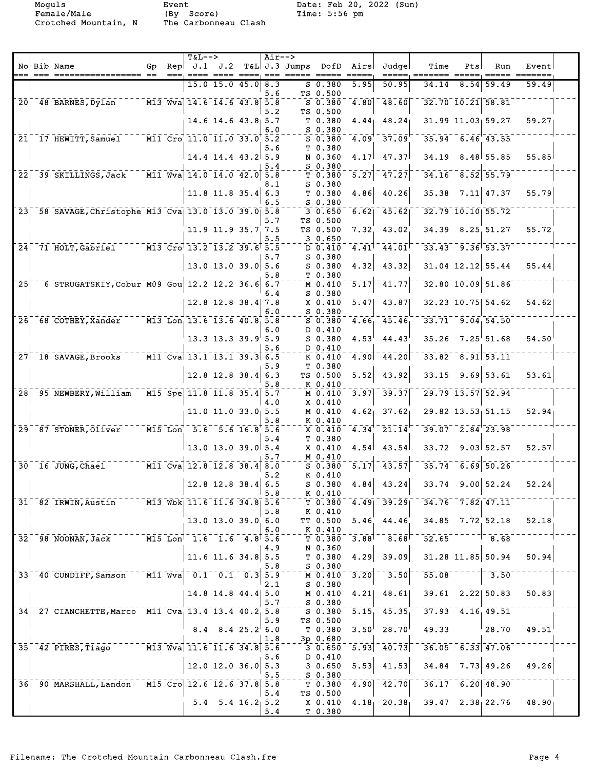Female/Male (By Score) Time: 5:56 pm

Crotched Mountain, N The Carbonneau Clash

|                            |                                                                    |    |      | $T&L-->$                                                                                    |                            |                     | $Air--$    |                 |                                     |                         |                                                         |                                                                                                                                                                                             |                |                          |                           |  |
|----------------------------|--------------------------------------------------------------------|----|------|---------------------------------------------------------------------------------------------|----------------------------|---------------------|------------|-----------------|-------------------------------------|-------------------------|---------------------------------------------------------|---------------------------------------------------------------------------------------------------------------------------------------------------------------------------------------------|----------------|--------------------------|---------------------------|--|
|                            | No Bib Name                                                        | Gp | $==$ | Rep $J.1$ J.2                                                                               |                            | $=$ $=$ $=$ $=$ $1$ | $== =$     | $T&L$ J.3 Jumps | DofD<br>$\qquad \qquad == \qquad =$ | Airs<br>$=$ $=$ $=$ $=$ | Judge                                                   | Time                                                                                                                                                                                        | Pts<br>$=====$ | Run<br>$=====$           | Event                     |  |
|                            |                                                                    |    |      |                                                                                             | 15.0 15.0 45.0             |                     | 8.3        |                 | $S_0.380$                           | 5.95                    | 50.95                                                   | 34.14                                                                                                                                                                                       | 8.54           | 59.49                    | 59.49                     |  |
|                            |                                                                    |    |      |                                                                                             |                            |                     | 5.6        |                 | TS 0.500                            |                         |                                                         |                                                                                                                                                                                             |                |                          |                           |  |
| $\overline{20}$            | 48 BARNES, Dylan                                                   |    |      | $\overline{M13}$ Wva $\overline{14.6}$ $\overline{14.6}$ $\overline{43.8}$ $\overline{5.8}$ |                            |                     |            |                 | $S$ 0.380                           | $\overline{4.80}$       | 48.60                                                   | 32.70 10.21 58.81                                                                                                                                                                           |                |                          |                           |  |
|                            |                                                                    |    |      |                                                                                             | 14.6 14.6 43.8 5.7         |                     | 5.2        |                 | TS 0.500<br>T <sub>0.380</sub>      | 4.44 <sub>1</sub>       | 48.24                                                   |                                                                                                                                                                                             |                | 31.99 11.03 59.27        | 59.27                     |  |
|                            |                                                                    |    |      |                                                                                             |                            |                     | 6.0        |                 | $S$ 0.380                           |                         |                                                         |                                                                                                                                                                                             |                |                          |                           |  |
| 21                         | 17 HEWITT, Samuel                                                  |    |      | $\overline{M11}$ Cro $\overline{11.0}$ $\overline{11.0}$ $\overline{33.0}$ $\overline{5.2}$ |                            |                     |            |                 | $S$ 0.380                           | 4.09                    | 37.09                                                   |                                                                                                                                                                                             |                | $35.94$ 6.46 43.55       |                           |  |
|                            |                                                                    |    |      |                                                                                             |                            |                     | 5.6        |                 | T 0.380                             |                         | 47.37                                                   |                                                                                                                                                                                             |                |                          |                           |  |
|                            |                                                                    |    |      |                                                                                             | $14.4$ 14.4 43.2 5.9       |                     | 5.4        |                 | N 0.360<br>S 0.380                  | 4.17                    |                                                         | 34.19                                                                                                                                                                                       |                | 8.48 55.85               | 55.85                     |  |
| $\overline{2}\overline{2}$ | 39 SKILLINGS, Jack                                                 |    |      | $\overline{M11}$ Wva $\overline{14.0}$ $\overline{14.0}$ $\overline{42.0}$                  |                            |                     | 5.8        |                 | T 0.380                             | 5.27                    | 47.27                                                   |                                                                                                                                                                                             |                | $34.16$ $8.52$ $55.79$   |                           |  |
|                            |                                                                    |    |      |                                                                                             |                            |                     | 8.1        |                 | S 0.380                             |                         |                                                         |                                                                                                                                                                                             |                |                          |                           |  |
|                            |                                                                    |    |      |                                                                                             | $11.8$ 11.8 35.4 6.3       |                     | 6.5        |                 | T 0.380<br>$S$ 0.380                | 4.86                    | 40.26                                                   | 35.38                                                                                                                                                                                       |                | $7.11$ 47.37             | 55.79                     |  |
|                            | 23 58 SAVAGE, Christophe M13 Cva 13.0 13.0 39.0 5.8                |    |      |                                                                                             |                            |                     |            |                 | 30.650                              | 6.62                    | 45.62                                                   |                                                                                                                                                                                             |                | $32.79$ $10.10$ $55.72$  |                           |  |
|                            |                                                                    |    |      |                                                                                             |                            |                     | 5.7        |                 | TS 0.500                            |                         |                                                         |                                                                                                                                                                                             |                |                          |                           |  |
|                            |                                                                    |    |      |                                                                                             | 11.9 11.9 35.7 7.5         |                     | 5.5        |                 | TS 0.500<br>30.650                  | 7.32                    | 43.02                                                   |                                                                                                                                                                                             |                | 34.39 8.25 51.27         | 55.72                     |  |
|                            | $24^{\degree}$ 71 HOLT, Gabriel                                    |    |      | $\overline{M13}$ Cro 13.2 13.2 39.6 5.5                                                     |                            |                     |            |                 | D 0.410                             | 4.41                    | 44.01                                                   | $33.43 - 9.36$ 53.37                                                                                                                                                                        |                |                          |                           |  |
|                            |                                                                    |    |      |                                                                                             |                            |                     | 5.7        |                 | $S_0.380$                           |                         |                                                         |                                                                                                                                                                                             |                |                          |                           |  |
|                            |                                                                    |    |      |                                                                                             | $13.0$ 13.0 39.0 5.6       |                     |            |                 | $S$ 0.380                           | 4.32                    | 43.32                                                   |                                                                                                                                                                                             |                | $31.04$ 12.12 55.44      | 55.44                     |  |
| $\overline{2}5$            | 6 STRUGATSKIY, Cobur M09 Gou 12.2 12.2 36.6                        |    |      |                                                                                             |                            |                     | 5.8<br>6.7 |                 | T 0.380<br>M 0.410                  | 5.17                    | 41.77                                                   |                                                                                                                                                                                             |                | $32.80$ $10.09$ $51.86$  |                           |  |
|                            |                                                                    |    |      |                                                                                             |                            |                     | 6.4        |                 | $S$ 0.380                           |                         |                                                         |                                                                                                                                                                                             |                |                          |                           |  |
|                            |                                                                    |    |      |                                                                                             | 12.8 12.8 38.4 7.8         |                     |            |                 | X 0.410                             | 5.47                    | 43.87                                                   |                                                                                                                                                                                             |                | 32.23 10.75 54.62        | 54.62                     |  |
| $\bar{26}$                 | 68 COTHEY, Xander                                                  |    |      | $\overline{M13}$ Lon <sub>1</sub> 13.6 13.6 40.8 5.8                                        |                            |                     | 6.0        |                 | $S$ 0.380<br>$S$ 0.380              | 4.66                    | 45.46                                                   | $33.71 - 9.04, 54.50$                                                                                                                                                                       |                |                          |                           |  |
|                            |                                                                    |    |      |                                                                                             |                            |                     | 6.0        |                 | D 0.410                             |                         |                                                         |                                                                                                                                                                                             |                |                          |                           |  |
|                            |                                                                    |    |      |                                                                                             | $13.3$ 13.3 39.9 5.9       |                     |            |                 | $S$ 0.380                           | 4.53                    | 44.43                                                   | 35.26                                                                                                                                                                                       |                | $7.25^{\circ} 51.68$     | 54.50                     |  |
|                            | $27$ 18 SAVAGE, Brooks                                             |    |      | $\overline{$ M11 Cva 13.1 13.1 39.3 6.5                                                     |                            |                     | 5.6        |                 | D 0.410<br>K 0.410                  | 4.90                    | 44.20                                                   | $33.82 - 8.91$ 53.11                                                                                                                                                                        |                |                          |                           |  |
|                            |                                                                    |    |      |                                                                                             |                            |                     | 5.9        |                 | T 0.380                             |                         |                                                         |                                                                                                                                                                                             |                |                          |                           |  |
|                            |                                                                    |    |      |                                                                                             | $12.8$ 12.8 38.4           |                     | 6.3        |                 | TS 0.500                            | 5.52                    | 43.92                                                   | 33.15                                                                                                                                                                                       |                | $9.69$ 53.61             | 53.61                     |  |
| 28 <sup>1</sup>            | 95 NEWBERY, William                                                |    |      | $\overline{M15}$ Spe 11.8 11.8 35.4 5.7                                                     |                            |                     | 5.8        |                 | K 0.410<br>M 0.410                  | 3.97                    | 39.37                                                   |                                                                                                                                                                                             |                | $729.79$ $13.57$ $52.94$ |                           |  |
|                            |                                                                    |    |      |                                                                                             |                            |                     | 4.0        |                 | X 0.410                             |                         |                                                         |                                                                                                                                                                                             |                |                          |                           |  |
|                            |                                                                    |    |      |                                                                                             | $11.0$ $11.0$ $33.0$ $5.5$ |                     |            |                 | M 0.410                             | 4.62 <sub>1</sub>       | 37.62                                                   | $29.82$ 13.53 51.15                                                                                                                                                                         |                |                          | 52.94                     |  |
| $\bar{2}\bar{9}^-$         | 87 STONER, Oliver                                                  |    |      | $\overline{M15\;{\rm Lon}^{1-}5.6}^{\overline{2}-5.6-16.8}$ 5.6                             |                            |                     | 5.8        |                 | K 0.410<br>$X$ 0.410                | 4.34                    | $\overline{2}\overline{1}\cdot\overline{1}\overline{4}$ | $39.07 - 2.84 - 23.98$                                                                                                                                                                      |                |                          |                           |  |
|                            |                                                                    |    |      |                                                                                             |                            |                     | 5.4        |                 | T 0.380                             |                         |                                                         |                                                                                                                                                                                             |                |                          |                           |  |
|                            |                                                                    |    |      |                                                                                             | $13.0$ 13.0 39.0 5.4       |                     |            |                 | X 0.410                             | 4.54                    | 43.54                                                   | 33.72                                                                                                                                                                                       |                | $9.03 \mid 52.57$        | 52.57                     |  |
| $\overline{30}$            | 16 JUNG, Chael                                                     |    |      | $ \overline{$ MII $\overline{c}$ va 12.8 12.8 38.4 8.0                                      |                            |                     | 5.7        |                 | M 0.410<br>$S$ 0.380                | 5.17                    | 43.57                                                   | 35.74                                                                                                                                                                                       |                | $6.69$ $50.26$           |                           |  |
|                            |                                                                    |    |      |                                                                                             |                            |                     | 5.2        |                 | K 0.410                             |                         |                                                         |                                                                                                                                                                                             |                |                          |                           |  |
|                            |                                                                    |    |      |                                                                                             | 12.8 12.8 38.4 6.5         |                     |            |                 | $S$ 0.380                           | 4.84                    | 43.24                                                   | 33.74                                                                                                                                                                                       |                | $9.00 \mid 52.24$        | 52.24                     |  |
|                            | 31 82 IRWIN, Austin M13 Wbk 11.6 11.6 34.8 5.6                     |    |      |                                                                                             |                            |                     | 5.8        |                 | K 0.410<br>T 0.380                  |                         |                                                         | $4.49$ $39.29$ $34.76$ $7.82$ $47.11$                                                                                                                                                       |                |                          |                           |  |
|                            |                                                                    |    |      |                                                                                             |                            |                     | 5.8        |                 | K 0.410                             |                         |                                                         |                                                                                                                                                                                             |                |                          |                           |  |
|                            |                                                                    |    |      |                                                                                             | 13.0 13.0 39.0 6.0         |                     |            |                 | TT 0.500                            | 5.46                    |                                                         | $44.46$ 34.85 7.72 52.18 52.18                                                                                                                                                              |                |                          |                           |  |
|                            | $32^{\mid}$ 98 NOONAN, Jack $M15$ Lon <sup>1</sup> 1.6 1.6 4.8 5.6 |    |      |                                                                                             |                            |                     | 6.0        |                 | K 0.410<br>$T_{T}$ 0.380            |                         |                                                         | $-3.88$ <sup>1-</sup> 8.68 <sup> --</sup> 52.65 <sup>-----1</sup> 8.68 <sup>-</sup>                                                                                                         |                |                          |                           |  |
|                            |                                                                    |    |      |                                                                                             |                            |                     | 4.9        |                 | N 0.360                             |                         |                                                         |                                                                                                                                                                                             |                |                          |                           |  |
|                            |                                                                    |    |      |                                                                                             | $11.6$ 11.6 34.8 5.5       |                     |            |                 | T 0.380                             | 4.29                    | 39.09                                                   |                                                                                                                                                                                             |                |                          | $31.28$ 11.85 50.94 50.94 |  |
| 33 <sup>1</sup>            | $-40$ CUNDIFF, Samson $-$ M11 Wva $-0.1$ $-0.1$ $-0.3$ 5.9         |    |      |                                                                                             |                            |                     | 5.8        |                 | S 0.380<br>M 0.410                  | $\overline{3.20}$       | 3.50                                                    |                                                                                                                                                                                             |                | $55.08$ $7.50$           |                           |  |
|                            |                                                                    |    |      |                                                                                             |                            |                     | 2.1        |                 | $S$ 0.380                           |                         |                                                         |                                                                                                                                                                                             |                |                          |                           |  |
|                            |                                                                    |    |      |                                                                                             | $14.8$ 14.8 44.4 5.0       |                     |            |                 | M 0.410                             |                         | $4.21$ $48.61$                                          |                                                                                                                                                                                             |                |                          | $39.61$ 2.22 50.83 50.83  |  |
|                            | 34, 27 CIANCHETTE, Marco M11 Cva, 13.4 13.4 40.2, 5.8              |    |      |                                                                                             |                            |                     | 5.7        |                 | $S_0.380$<br>S 0.380                |                         |                                                         | $\overline{5.15}$ $\overline{45.35}$ $\overline{37.93}$ $\overline{4.16}$ $\overline{49.51}$                                                                                                |                |                          |                           |  |
|                            |                                                                    |    |      |                                                                                             |                            |                     | 5.9        |                 | TS 0.500                            |                         |                                                         |                                                                                                                                                                                             |                |                          |                           |  |
|                            |                                                                    |    |      |                                                                                             | $8.4$ $8.4$ $25.2$ 6.0     |                     |            |                 | T 0.380                             | 3.50 <sup>1</sup>       | $28.70^\circ$                                           |                                                                                                                                                                                             |                |                          | 49.33 $ 28.70 49.51 $     |  |
|                            | 35 42 PIRES, Tiago M13 Wva 11.6 11.6 34.8 5.6                      |    |      |                                                                                             |                            |                     | 1.8        |                 | $3p$ 0.680<br>3 0.650               |                         |                                                         | $\begin{bmatrix} 5.93 \end{bmatrix}$ 40.73 36.05 6.33 47.06                                                                                                                                 |                |                          |                           |  |
|                            |                                                                    |    |      |                                                                                             |                            |                     | 5.6        |                 | D 0.410                             |                         |                                                         |                                                                                                                                                                                             |                |                          |                           |  |
|                            |                                                                    |    |      |                                                                                             | $12.0$ 12.0 36.0 5.3       |                     |            |                 | 3 0.650                             | 5.53                    | 41.53                                                   |                                                                                                                                                                                             |                | $34.84$ 7.73 49.26       | 49.26                     |  |
|                            | 36 30 MARSHALL, Landon M15 Cro 12.6 12.6 37.8 5.8                  |    |      |                                                                                             |                            |                     | 5.5        |                 | S 0.380<br>$T \overline{0.380}$     |                         |                                                         | $\begin{bmatrix} 4.90 \end{bmatrix}$ $\begin{bmatrix} 42.70 \end{bmatrix}$ $\begin{bmatrix} 36.17 \end{bmatrix}$ $\begin{bmatrix} 6.20 \end{bmatrix}$ $\begin{bmatrix} 48.90 \end{bmatrix}$ |                |                          |                           |  |
|                            |                                                                    |    |      |                                                                                             |                            |                     | 5.4        |                 | TS 0.500                            |                         |                                                         |                                                                                                                                                                                             |                |                          |                           |  |
|                            |                                                                    |    |      |                                                                                             | $5.4$ 5.4 16.2 5.2         |                     |            |                 | X 0.410                             |                         |                                                         | $4.18$ 20.38 39.47 2.38 22.76 48.90                                                                                                                                                         |                |                          |                           |  |
|                            |                                                                    |    |      |                                                                                             |                            |                     | 5.4        |                 | T 0.380                             |                         |                                                         |                                                                                                                                                                                             |                |                          |                           |  |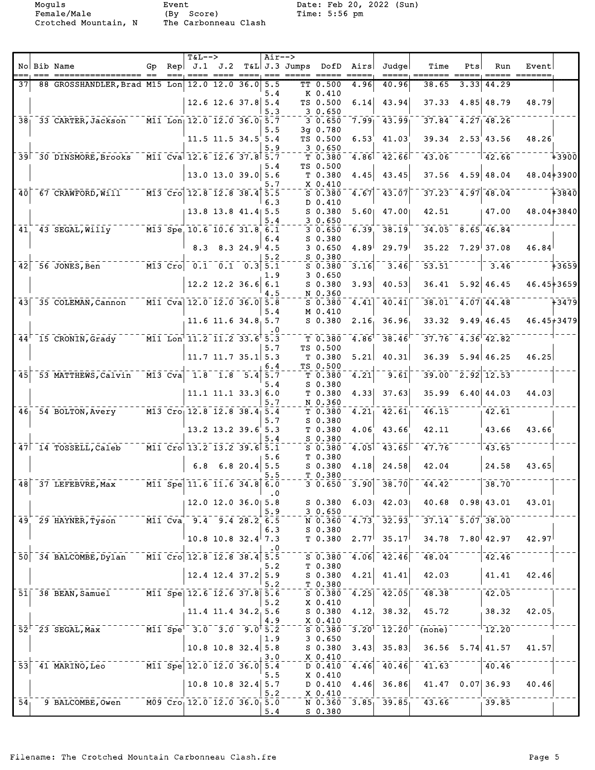Female/Male (By Score) Time: 5:56 pm Crotched Mountain, N The Carbonneau Clash

|                 | No Bib Name                                                                                                                       |     | $T&L-->$ |                                                                                               | $Air-->$  |                           |                        | Gp Rep $J.1$ $J.2$ T&L J.3 Jumps DofD Airs | Judge                                     | Time                                  | Pts  | Run                        | Event        |              |
|-----------------|-----------------------------------------------------------------------------------------------------------------------------------|-----|----------|-----------------------------------------------------------------------------------------------|-----------|---------------------------|------------------------|--------------------------------------------|-------------------------------------------|---------------------------------------|------|----------------------------|--------------|--------------|
| 371             |                                                                                                                                   | ——— |          |                                                                                               |           | ==== ==== ====, === ===== |                        |                                            |                                           |                                       |      |                            | ==== ======= |              |
|                 | 88 GROSSHANDLER, Brad M15 Lon 12.0 12.0 36.0 5.5                                                                                  |     |          |                                                                                               | 5.4       |                           | TT 0.500<br>K 0.410    | 4.96                                       | 40.96                                     | 38.65                                 | 3.33 | 44.29                      |              |              |
|                 |                                                                                                                                   |     |          | $12.6$ 12.6 37.8 5.4                                                                          |           |                           | TS 0.500               | 6.14                                       | 43.94                                     | $37.33$ 4.85 48.79                    |      |                            | 48.79        |              |
|                 | 38 33 CARTER, Jackson M11 Lon 12.0 12.0 36.0 5.7                                                                                  |     |          |                                                                                               | 5.3       |                           | 30.650<br>30.650       | 7.99                                       | 43.99                                     | $37.84$ $4.27$ $48.26$                |      |                            |              |              |
|                 |                                                                                                                                   |     |          |                                                                                               | 5.5       |                           | 3q 0.780               |                                            |                                           |                                       |      | $39.34$ $2.53$ $43.56$     | 48.26        |              |
|                 |                                                                                                                                   |     |          | 11.5 11.5 34.5 5.4                                                                            | 5.9       |                           | TS 0.500<br>30.650     | 6.53                                       | 41.03                                     |                                       |      |                            |              |              |
|                 | 39 30 DINSMORE, Brooks M11 Cva 12.6 12.6 37.8 5.7                                                                                 |     |          |                                                                                               |           |                           | T 0.380                | 4.86                                       | 42.66                                     | 43.06                                 |      | $\frac{-22.66}{ }$         |              | - 13900      |
|                 |                                                                                                                                   |     |          | $13.0$ 13.0 39.0 5.6                                                                          | 5.4       |                           | TS 0.500<br>T 0.380    | 4.45                                       | 43.45                                     |                                       |      | $37.56$ 4.59 48.04         | 48.04+3900   |              |
|                 | 40 67 CRAWFORD, Will M13 Cro 12.8 12.8 38.4 5.5                                                                                   |     |          |                                                                                               | 5.7       |                           | X 0.410                | 4.67                                       | 43.07                                     |                                       |      | $37.23$ $4.97$ $48.04$     |              | $- - + 3840$ |
|                 |                                                                                                                                   |     |          |                                                                                               | 6.3       |                           | $S$ 0.380<br>D 0.410   |                                            |                                           |                                       |      |                            |              |              |
|                 |                                                                                                                                   |     |          | $13.8$ 13.8 41.4 5.5                                                                          | 5.4       |                           | S 0.380<br>30.650      | 5.60                                       | 47.00                                     | 42.51                                 |      | 47.00                      | 48.04+3840   |              |
|                 | 41 43 SEGAL, WIIIy 113 Spe 10.6 10.6 31.8 6.1                                                                                     |     |          |                                                                                               |           |                           | 30.650                 | 6.39                                       | 38.19                                     | $34.05$ $8.65$ $46.84$                |      |                            |              |              |
|                 |                                                                                                                                   |     |          | $8.3$ $8.3$ $24.9$ $4.5$                                                                      | 6.4       |                           | $S$ 0.380<br>30.650    | 4.89                                       | 29.79                                     |                                       |      | $35.22$ $7.29$ 37.08       | 46.84        |              |
|                 |                                                                                                                                   |     |          |                                                                                               | 5.2       |                           | $S_{0.380}$            |                                            |                                           |                                       |      |                            |              |              |
|                 | $   \overline{M13}$ $\overline{Cro}$ $ \overline{0.1}$ $ \overline{0.1}$ $ \overline{0.3}$ $\overline{5.1}$<br>$42$ 56 JONES, Ben |     |          |                                                                                               |           |                           | $S$ 0.380<br>30.650    | 3.16                                       | 3.46                                      | $\overline{53.51}$                    |      | 3.46                       |              | $-$ +3659    |
|                 |                                                                                                                                   |     |          | $12.2$ 12.2 36.6 6.1                                                                          | 1.9       |                           | $S$ 0.380              | 3.93                                       | 40.53                                     |                                       |      | $36.41$ $5.92$ 46.45       | 46.45+3659   |              |
|                 | $\overline{43}$ $\overline{35}$ COLEMAN, Cannon                                                                                   |     |          | $\overline{\text{M11 }} \text{Cval } 12.0 \overline{\text{12.0 }} 36.0 \overline{\text{5.8}}$ | 4.5       |                           | N 0.360                | 4.41                                       | 40.41                                     |                                       |      | $38.01$ $4.07$ $44.48$     |              | $-7-3479$    |
|                 |                                                                                                                                   |     |          |                                                                                               | 5.4       |                           | S 0.380<br>M 0.410     |                                            |                                           |                                       |      |                            |              |              |
|                 |                                                                                                                                   |     |          | 11.6 11.6 34.8 5.7                                                                            | . 0       |                           | $S$ 0.380              | 2.16                                       | 36.96                                     |                                       |      | $33.32$ $9.49$ , $46.45$   | 46.45+3479   |              |
|                 | 44 <sup>-15</sup> CRONIN, Grady M11 Lon <sup>1</sup> 11.2 11.2 33.6 <sup>+</sup> 5.3                                              |     |          |                                                                                               |           |                           | $T$ 0.380              | $4.86$ <sup>1</sup>                        | $\bar{38.46}$                             | $37.76$ $4.36$ $42.82$                |      |                            |              |              |
|                 |                                                                                                                                   |     |          | $11.7$ 11.7 35.1 5.3                                                                          | 5.7       |                           | TS 0.500<br>T 0.380    | 5.21                                       | 40.31                                     | 36.39                                 |      | 5.94 46.25                 | 46.25        |              |
|                 |                                                                                                                                   |     |          |                                                                                               | 6.4       |                           | TS 0.500               |                                            |                                           |                                       |      |                            |              |              |
| $\overline{45}$ | 53 MATTHEWS, Calvin M13 Cva 1.8 1.8 5.4 5.7                                                                                       |     |          |                                                                                               | 5.4       |                           | $T$ 0.380<br>$S$ 0.380 | 4.21                                       | $\bar{9}.\bar{6}\bar{1}$                  |                                       |      | $39.00^{-}$ $2.92$ $12.53$ |              |              |
|                 |                                                                                                                                   |     |          | $11.1$ $11.1$ $33.3$ 6.0                                                                      |           |                           | T 0.380                | 4.33                                       | 37.63                                     |                                       |      | $35.99$ 6.40 44.03         | 44.03        |              |
|                 | 46 54 BOLTON, Avery M13 Cro 12.8 12.8 38.4 5.4                                                                                    |     |          |                                                                                               | 5.7       |                           | N 0.360<br>$T$ 0.380   | $\overline{4.21}$                          | $\bar{4}\bar{2}\bar{.}\bar{6}\bar{1}$     | 46.15                                 |      | $-42.61$                   |              |              |
|                 |                                                                                                                                   |     |          |                                                                                               | 5.7       |                           | $S$ 0.380              |                                            |                                           |                                       |      |                            |              |              |
|                 |                                                                                                                                   |     |          | $13.2$ $13.2$ $39.6$ 5.3                                                                      | 5.4       |                           | T 0.380<br>$S$ 0.380   | 4.06'                                      | 43.66                                     | 42.11                                 |      | 43.66                      | 43.66        |              |
|                 | $47$ $14$ $TOSSELL, Caleb$                                                                                                        |     |          | $\overline{M11}$ Cro 13.2 13.2 39.6 5.1                                                       |           |                           | $S$ 0.380              | $\overline{4.05}$                          | $\overline{43.65}$                        | $47.76^{-}$                           |      | $\overline{1}$ 43.65       |              |              |
|                 |                                                                                                                                   |     |          | $6.8$ $6.8$ 20.4 5.5                                                                          | 5.6       |                           | T 0.380<br>$S$ 0.380   | 4.18                                       | 24.58                                     | 42.04                                 |      | 24.58                      | 43.65        |              |
|                 |                                                                                                                                   |     |          |                                                                                               | 5.5       |                           | T 0.380                |                                            |                                           |                                       |      |                            |              |              |
|                 | $\overline{48}$ 37 LEFEBVRE, Max                                                                                                  |     |          | $\overline{M11}$ Spe 11.6 11.6 34.8 6.0                                                       | $\cdot$ 0 |                           | 30.650                 |                                            | $\sqrt{3.90}$ $\sqrt{38.70}$              | $-44.42$                              |      | 738.70                     |              |              |
|                 |                                                                                                                                   |     |          | 12.0 12.0 36.0 5.8                                                                            |           |                           | $S_0.380$              | 6.03                                       | 42.03                                     | 40.68 0.98 43.01                      |      |                            | 43.01        |              |
|                 | 49 29 HAYNER, Tyson                                                                                                               |     |          | $\overline{M11}$ Cva 9.4 9.4 28.2 6.5                                                         | 5.9       |                           | 30.650<br>N 0.360      | 4.73                                       | $\overline{32.93}$                        | $37.14$ $5.07$ $38.00$                |      |                            |              |              |
|                 |                                                                                                                                   |     |          |                                                                                               | 6.3       |                           | $S$ 0.380              |                                            |                                           |                                       |      |                            |              |              |
|                 |                                                                                                                                   |     |          | $10.8$ 10.8 32.4 7.3                                                                          |           |                           | T0.380                 | 2.77                                       | 35.17                                     | 34.78 7.80 42.97                      |      |                            | 42.97        |              |
|                 | 50 34 BALCOMBE, Dylan M11 Cro 12.8 12.8 38.4 5.5                                                                                  |     |          |                                                                                               |           |                           | 50.380                 | 4.06                                       | 42.46                                     | 48.04                                 |      | 142.46                     |              |              |
|                 |                                                                                                                                   |     |          | $12.4$ 12.4 37.2 5.9                                                                          | 5.2       |                           | T 0.380<br>S 0.380     | 4.21                                       | 41.41                                     | 42.03                                 |      | 41.41                      | 42.46        |              |
|                 |                                                                                                                                   |     |          |                                                                                               | 5.2       |                           | T 0.380                |                                            |                                           |                                       |      |                            |              |              |
|                 | 51 38 BEAN, Samuel M11 Spe 12.6 12.6 37.8 5.6                                                                                     |     |          |                                                                                               | 5.2       |                           | $S$ 0.380<br>X 0.410   | $\sqrt{4.25}$                              | $\overline{42.05}$                        | $-7.38$                               |      | $\sqrt{42.05}$             |              |              |
|                 |                                                                                                                                   |     |          | 11.4 11.4 34.2 5.6                                                                            |           |                           | S 0.380                |                                            | 4.12, 38.32                               | 45.72                                 |      | 38.32                      | 42.05        |              |
|                 | $52^{\dagger}$ 23 SEGAL, Max                                                                                                      |     |          | $\overline{M11}$ $\overline{Spe}^{-3.0}$ $\overline{3.0}$ $\overline{9.0}$ $\overline{5.2}$   | 4.9       |                           | X 0.410<br>S 0.380     |                                            | $3.20$ <sup>1-</sup> $12.20$ <sup>1</sup> | (none)                                |      | $7 - 12.20$                |              |              |
|                 |                                                                                                                                   |     |          |                                                                                               | 1.9       |                           | 3 0.650                |                                            |                                           |                                       |      |                            |              |              |
|                 |                                                                                                                                   |     |          | $10.8$ 10.8 32.4 5.8                                                                          | 3.0       |                           | S 0.380<br>X 0.410     | 3.43                                       | 35.83                                     | $36.56$ $5.74$ 41.57                  |      |                            | 41.57        |              |
|                 | 53 41 MARINO, Leo M11 Spe 12.0 12.0 36.0 5.4                                                                                      |     |          |                                                                                               | 5.5       |                           | D 0.410                | 4.46                                       | 40.46                                     | 41.63                                 |      | 40.46                      |              |              |
|                 |                                                                                                                                   |     |          | $10.8$ 10.8 32.4 5.7                                                                          |           |                           | X 0.410<br>D 0.410     | 4.46                                       | 36.86                                     | 41.47 0.07 36.93                      |      |                            | 40.46        |              |
| 54 <sub>1</sub> | 9 BALCOMBE, Owen $M09$ Cro 12.0 12.0 36.0 5.0                                                                                     |     |          |                                                                                               | 5.2       |                           | $X$ 0.410              |                                            |                                           | $\overline{N}$ 0.360 3.85 39.85 43.66 |      | $-239.85$                  |              |              |
|                 |                                                                                                                                   |     |          |                                                                                               | 5.4       |                           | S 0.380                |                                            |                                           |                                       |      |                            |              |              |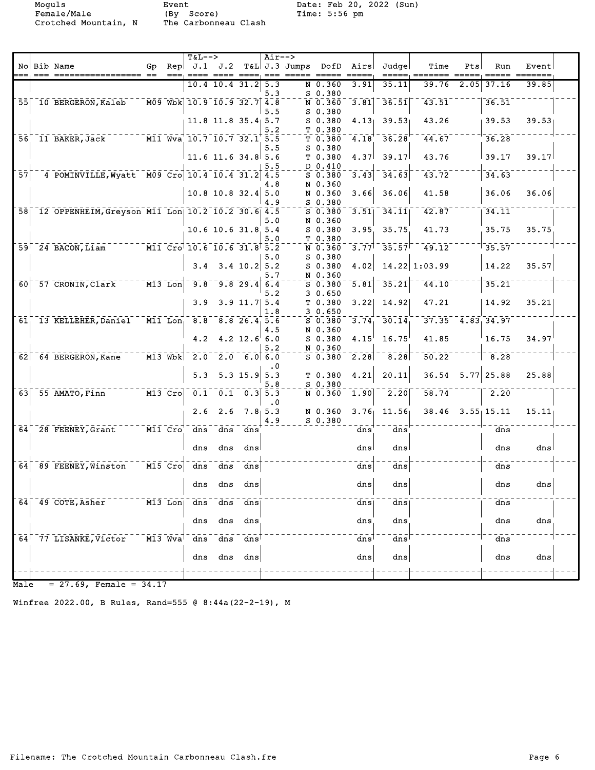Female/Male (By Score) Time: 5:56 pm Crotched Mountain, N The Carbonneau Clash

Moguls Event Date: Feb 20, 2022 (Sun)

|                 | No Bib Name                                      | Gp |                                   | $T&L--$<br>Rep $J.1$ $J.2$             |                      |                       | $Air--$         | $T&L$ J.3 Jumps | DofD                 | Airs              | Judge              | Time                 | Pts  | Run                | Event |  |
|-----------------|--------------------------------------------------|----|-----------------------------------|----------------------------------------|----------------------|-----------------------|-----------------|-----------------|----------------------|-------------------|--------------------|----------------------|------|--------------------|-------|--|
|                 |                                                  |    |                                   |                                        | 10.4 10.4 31.2       |                       | 5.3<br>5.3      |                 | N 0.360<br>$S$ 0.380 | 3.91              | 35.11              | 39.76                | 2.05 | 37.16              | 39.85 |  |
| $\overline{55}$ | 10 BERGERON, Kaleb                               |    |                                   | M09 Wbk 10.9 10.9 32.7                 |                      |                       | 4.8<br>5.5      |                 | N 0.360<br>$S$ 0.380 | $\overline{3.81}$ | 36.51              | 43.51                |      | 36.51              |       |  |
|                 |                                                  |    |                                   |                                        | $11.8$ 11.8 35.4 5.7 |                       | 5.2             |                 | $S$ 0.380<br>T 0.380 | 4.13              | 39.53              | 43.26                |      | 39.53              | 39.53 |  |
| 56'             | 11 BAKER, Jack                                   |    |                                   | M11 Wva 10.7 10.7 32.1 5.5             |                      |                       | 5.5             |                 | T 0.380<br>$S_0.380$ | 4.18              | 36.28              | 44.67                |      | 36.28              |       |  |
|                 |                                                  |    |                                   |                                        | $11.6$ 11.6 34.8 5.6 |                       |                 |                 | T 0.380<br>D 0.410   | 4.37              | 39.17              | 43.76                |      | 39.17              | 39.17 |  |
| $\overline{57}$ | 4 POMINVILLE, Wyatt M09 Cro 10.4 10.4 31.2       |    |                                   |                                        |                      |                       | 4.5<br>4.8      |                 | $S$ 0.380<br>N 0.360 | 3.43              | 34.63              | $\overline{43.72}$   |      | 34.63              |       |  |
|                 |                                                  |    |                                   |                                        | $10.8$ 10.8 32.4     |                       | 5.0<br>4.9      |                 | N 0.360<br>$S$ 0.380 | 3.66              | 36.06              | 41.58                |      | 36.06              | 36.06 |  |
| 58 <sub>1</sub> | 12 OPPENHEIM, Greyson M11 Lon 10.2 10.2 30.6 4.5 |    |                                   |                                        |                      |                       | 5.0             |                 | $S$ 0.380<br>N 0.360 | 3.51              | 34.11              | 42.87                |      | 34.11              |       |  |
|                 |                                                  |    |                                   |                                        | 10.6 10.6 31.8 5.4   |                       | 5.0             |                 | $S$ 0.380<br>T 0.380 | 3.95              | 35.75              | 41.73                |      | 35.75              | 35.75 |  |
|                 | $59^{\degree}$ 24 BACON, Liam                    |    |                                   | M11 Cro 10.6 10.6 31.8 5.2             |                      |                       | 5.0             |                 | N 0.360<br>$S_0.380$ | 3.77              | $-35.57$           | 19.12                |      | 35.57              |       |  |
|                 |                                                  |    |                                   | 3.4                                    |                      | $3.4 \ 10.2$          | 5.2<br>5.7      |                 | $S$ 0.380<br>N 0.360 | 4.02              |                    | 14.22   1:03.99      |      | 14.22              | 35.57 |  |
| 60              | 57 CRONIN, Clark                                 |    |                                   | $\overline{M13}$ Lon $\overline{9.8}$  |                      | $\overline{9.8}$ 29.4 | 6.4<br>5.2      |                 | $S$ 0.380<br>30.650  | 5.81              | 35.21              | 44.10                |      | $\overline{35.21}$ |       |  |
|                 |                                                  |    |                                   | 3.9                                    |                      | $3.9$ 11.7 $5.4$      | 1.8             |                 | T 0.380<br>30.650    | 3.22              | 14.92              | 47.21                |      | 14.92              | 35.21 |  |
| 61.             | 13 KELLEHER, Daniel                              |    |                                   | $\overline{M11}$ Lon, 8.8 8.8 26.4 5.6 |                      |                       | 4.5             |                 | $S$ 0.380<br>N 0.360 | 3.74              | $\overline{30.14}$ | $37.35 - 4.83$ 34.97 |      |                    |       |  |
|                 |                                                  |    |                                   | 4.2                                    |                      | $4.2$ 12.6 6.0        |                 |                 | $S$ 0.380<br>N 0.360 | 4.15              | 16.75              | 41.85                |      | 16.75              | 34.97 |  |
| 62              | 64 BERGERON, Kane                                |    | $M13$ Wbk                         | $\overline{2.0}$                       |                      | $2.0$ 6.0 6.0         | . 0             |                 | $S$ 0.380            | 2.28              | 8.28               | $\overline{50.22}$   |      | 8.28               |       |  |
|                 |                                                  |    |                                   | 5.3                                    |                      | $5.3$ 15.9            | 5.3<br>5.8      |                 | T 0.380<br>S 0.380   | 4.21              | 20.11              | 36.54                |      | $5.77$ 25.88       | 25.88 |  |
| 63              | 55 AMATO, Finn                                   |    | $M13$ $Cro$                       |                                        | $0.1 - 0.1$          | $\sqrt{0.3}$ 5.3      | . 0             |                 | N 0.360              | 1.90              | $\overline{2.20}$  | 58.74                |      | 2.20               |       |  |
|                 |                                                  |    |                                   | 2.6                                    | 2.6                  |                       | 7.8, 5.3<br>4.9 |                 | N 0.360<br>$S$ 0.380 | 3.76              | 11.56              | 38.46                |      | $3.55$ 15.11       | 15.11 |  |
| $\overline{64}$ | 28 FEENEY, Grant                                 |    | $M11$ $Cro$                       |                                        | dns dns              | dns                   |                 |                 |                      | dns               | dns                |                      |      | dns                |       |  |
|                 |                                                  |    |                                   | dns                                    | dns                  | dns                   |                 |                 |                      | dns               | dns                |                      |      | dns                | dns   |  |
| $\overline{64}$ | 89 FEENEY, Winston                               |    | $\overline{M15}$ $\overline{Cro}$ | dns                                    | $\overline{d}$ ns    | dns                   |                 |                 |                      | dns               | $\overline{dns}$   |                      |      | dns                |       |  |
|                 |                                                  |    |                                   |                                        | dns dns dns          |                       |                 |                 |                      | $\frac{d}{ds}$    | dns                |                      |      | dns                | dns   |  |
| 64 <sub>1</sub> | 49 COTE, Asher                                   |    | $M13$ Lon                         | dns                                    | dns                  | dns                   |                 |                 |                      | dns               | dns                |                      |      | dns                |       |  |
|                 |                                                  |    |                                   | dns                                    | dns                  | dns                   |                 |                 |                      | dns               | dns                |                      |      | dns                | dns   |  |
| 64              | 77 LISANKE, Victor                               |    | M13 Wva                           | dns                                    | dns                  | dns                   |                 |                 |                      | dns               | ans <sup>1</sup>   |                      |      | dns                |       |  |
|                 |                                                  |    |                                   | dns                                    | dns                  | dns                   |                 |                 |                      | dns               | $_{\rm{ans}}$      |                      |      | dns                | dns   |  |
|                 |                                                  |    |                                   |                                        |                      |                       |                 |                 |                      |                   |                    |                      |      |                    |       |  |

 $Male = 27.69$ , Female = 34.17

Winfree 2022.00, B Rules, Rand=555 @ 8:44a(22-2-19), M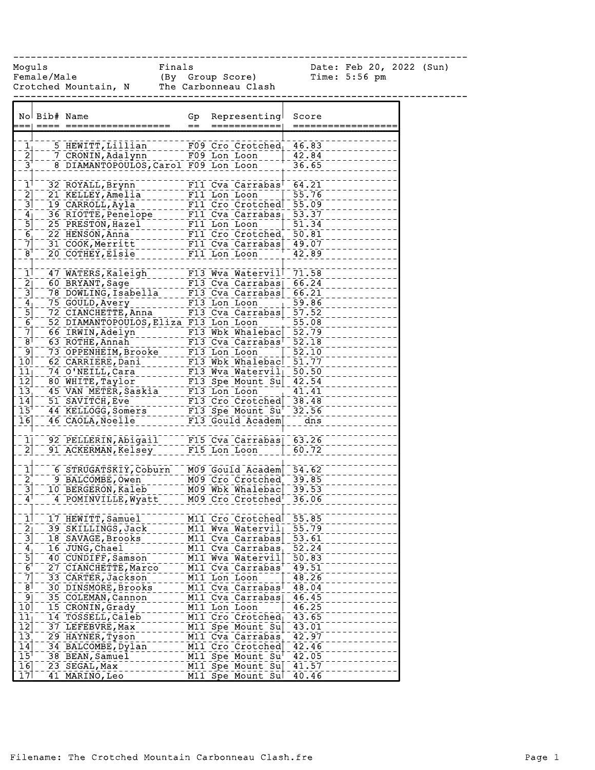Moguls Finals Date: Feb 20, 2022 (Sun) Female/Male (By Group Score) Time: 5:56 pm Crotched Mountain, N The Carbonneau Clash ------------------------------------------------------------------------------ No Bib# Name Gp Representing Score === ==== ================== == ============ ==================  $1<sub>1</sub>$  5 HEWITT, Lillian F09 Cro Crotched 46.83 2 7 CRONIN, Adalynn F09 Lon Loon 42.84 3 8 DIAMANTOPOULOS,Carol F09 Lon Loon 36.65 1 32 ROYALL, Brynn F11 Cva Carrabas 64.21 2 21 KELLEY, Amelia F11 Lon Loon 55.76 3 19 CARROLL,Ayla F11 Cro Crotched 55.09  $4$  36 RIOTTE, Penelope F11 Cva Carrabas  $53.37$ 5 25 PRESTON, Hazel F11 Lon Loon 51.34 6 22 HENSON, Anna F11 Cro Crotched 50.81 7 31 COOK, Merritt F11 Cva Carrabas 49.07 8<sup>1</sup> 20 COTHEY, Elsie F11 Lon Loon 42.89 -1|--47 WATERS, Kaleigh F13 Wva Watervil 71.58<br>-2|--60 BRYANT, Sage ------- F13 Cva Carrabas| 66.24<br>-3|--50 SATERS, Sage -------- F13 Cva Carrabas| 66.24 2 7 60 BRYANT, Sage F13 Cva Carrabas 66.24<br>- 3 78 DOWLING, Isabella F13 Cva Carrabas 66.21 78 DOWLING, Isabella F13 Cva Carrabas 66.21 4 75 GOULD, Avery F13 Lon Loon 59.86 5 72 CIANCHETTE, Anna F13 Cva Carrabas 57.52 6 52 DIAMANTOPOULOS, Eliza F13 Lon Loon 55.08 7 66 IRWIN,Adelyn F13 Wbk Whalebac 52.79 8 63 ROTHE, Annah F13 Cva Carrabas 52.18<br>8 63 ROTHE, Annah F13 Cva Carrabas 52.18<br>8 63 OPPENHEIM, Brooke F13 Lon Loon 9 73 OPPENHEIM, Brooke F13 Lon Loon 52.10<br>76 OPPENHEIM, Brooke F13 Lon Loon 52.10 10 62 CARRIERE, Dani F13 Wbk Whalebac 51.77 11 - 74 O'NEILL, Cara FII F13 Wva Watervil 50.50<br>12 - 80 WHITE, Taylor F13 Spe Mount Su 42.54 12 80 WHITE, Taylor F13 Spe Mount Su 42.54<br>13 45 VAN METER, Saskia F13 Lon Loon 41.41 15 VAN METER, Saskia F13 Lon Loon - 41.41 14 51 SAVITCH, Eve F13 Cro Crotched 38.48 15 44 KELLOGG, Somers F13 Spe Mount Su<sup>+</sup> 32.56 16 46 CAOLA, Noelle F13 Gould Academ dns 1 92 PELLERIN, Abigail F15 Cva Carrabas 63.26 2 91 ACKERMAN, Kelsey F15 Lon Loon 60.72 1 6 STRUGATSKIY, Coburn M09 Gould Academ 54.62 2 9 BALCOMBE, Owen M09 Cro Crotched 39.85<br>
3 - 10 BERGERON, Kaleb M09 Wbk Whalebac 39.53 3 10 BERGERON, Kaleb M09 Wbk Whalebac 39.53 4 4 POMINVILLE, Wyatt M09 Cro Crotched 36.06 1 17 HEWITT, Samuel M11 Cro Crotched 55.85 2 39 SKILLINGS, Jack M11 Wva Watervil 55.79 3 18 SAVAGE, Brooks M11 Cva Carrabas 53.61 4 16 JUNG, Chael M11 Cva Carrabas 52.24 5 40 CUNDIFF, Samson M11 Wva Watervil 50.83 6 27 CIANCHETTE, Marco M11 Cva Carrabas 49.51 7 33 CARTER,Jackson M11 Lon Loon 48.26 8 30 DINSMORE, Brooks M11 Cva Carrabas<sup>1</sup> 48.04 9 35 COLEMAN, Cannon M11 Cva Carrabas 46.45 10 15 CRONIN, Grady M11 Lon Loon 46.25 11 14 TOSSELL, Caleb M11 Cro Crotched 43.65 12 37 LEFEBVRE, Max M11 Spe Mount Su 43.01 13 29 HAYNER,Tyson M11 Cva Carrabas 42.97 14 34 BALCOMBE,Dylan M11 Cro Crotched 42.46 15<sup>1</sup> 38 BEAN, Samuel M11 Spe Mount Su<sup>1</sup> 42.05 16 23 SEGAL, Max M11 Spe Mount Su 41.57 17 41 MARINO, Leo M11 Spe Mount Sul 40.46

------------------------------------------------------------------------------